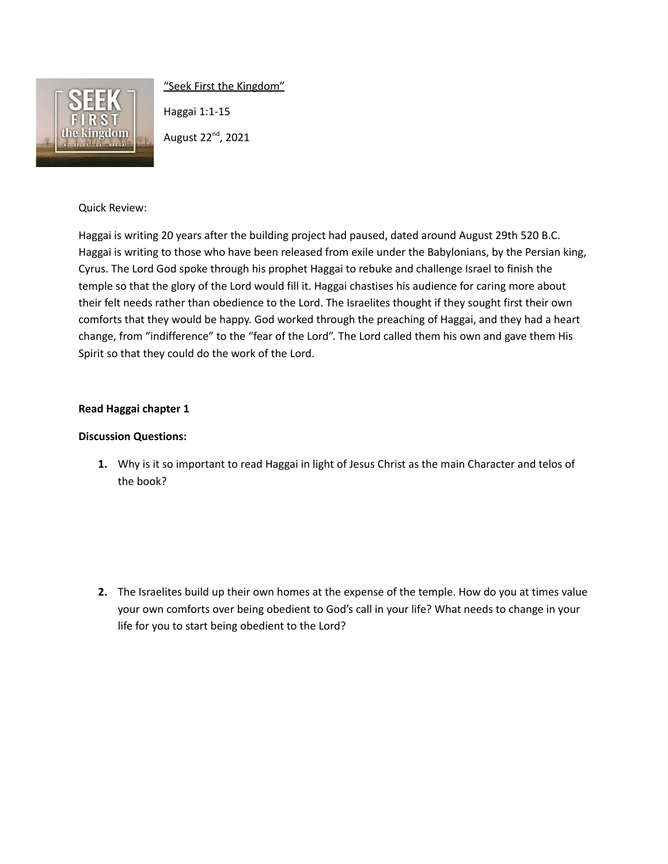

"Seek First the Kingdom"

Haggai 1:1-15

August 22<sup>nd</sup>, 2021

## Quick Review:

Haggai is writing 20 years after the building project had paused, dated around August 29th 520 B.C. Haggai is writing to those who have been released from exile under the Babylonians, by the Persian king, Cyrus. The Lord God spoke through his prophet Haggai to rebuke and challenge Israel to finish the temple so that the glory of the Lord would fill it. Haggai chastises his audience for caring more about their felt needs rather than obedience to the Lord. The Israelites thought if they sought first their own comforts that they would be happy. God worked through the preaching of Haggai, and they had a heart change, from "indifference" to the "fear of the Lord". The Lord called them his own and gave them His Spirit so that they could do the work of the Lord.

## **Read Haggai chapter 1**

## **Discussion Questions:**

**1.** Why is it so important to read Haggai in light of Jesus Christ as the main Character and telos of the book?

**2.** The Israelites build up their own homes at the expense of the temple. How do you at times value your own comforts over being obedient to God's call in your life? What needs to change in your life for you to start being obedient to the Lord?